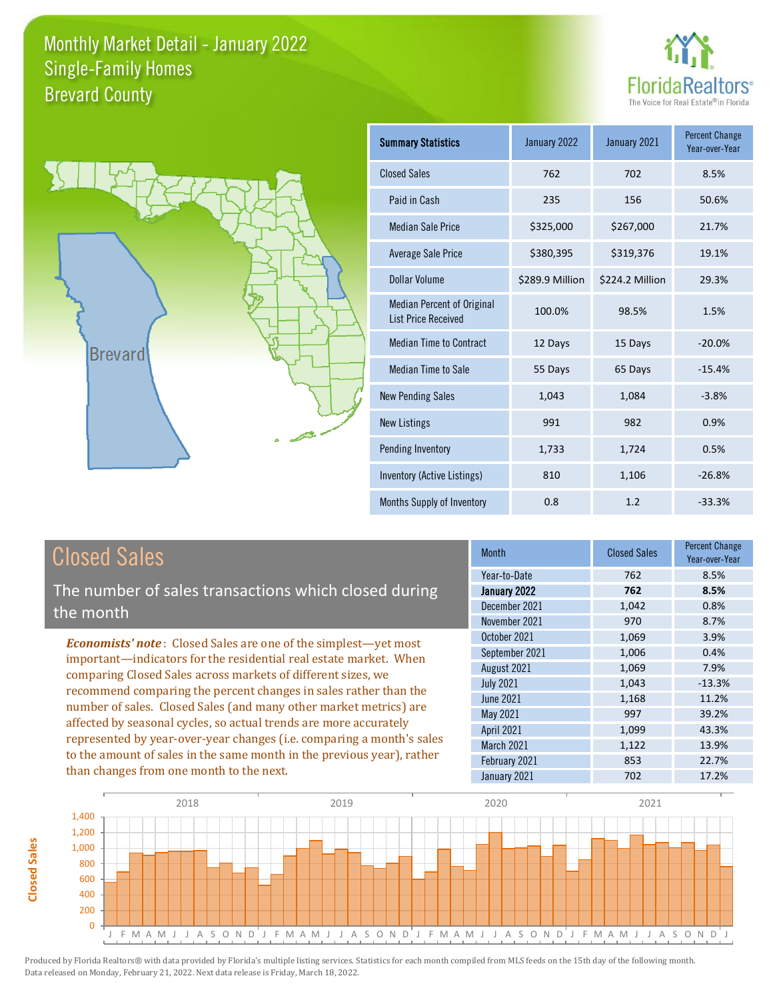



| <b>Summary Statistics</b>                                       | January 2022    | January 2021    | <b>Percent Change</b><br>Year-over-Year |
|-----------------------------------------------------------------|-----------------|-----------------|-----------------------------------------|
| <b>Closed Sales</b>                                             | 762             | 702             | 8.5%                                    |
| Paid in Cash                                                    | 235             | 156             | 50.6%                                   |
| <b>Median Sale Price</b>                                        | \$325,000       | \$267,000       | 21.7%                                   |
| <b>Average Sale Price</b>                                       | \$380,395       | \$319,376       | 19.1%                                   |
| Dollar Volume                                                   | \$289.9 Million | \$224.2 Million | 29.3%                                   |
| <b>Median Percent of Original</b><br><b>List Price Received</b> | 100.0%          | 98.5%           | 1.5%                                    |
| <b>Median Time to Contract</b>                                  | 12 Days         | 15 Days         | $-20.0%$                                |
| <b>Median Time to Sale</b>                                      | 55 Days         | 65 Days         | $-15.4%$                                |
| <b>New Pending Sales</b>                                        | 1,043           | 1,084           | $-3.8%$                                 |
| <b>New Listings</b>                                             | 991             | 982             | 0.9%                                    |
| Pending Inventory                                               | 1,733           | 1,724           | 0.5%                                    |
| Inventory (Active Listings)                                     | 810             | 1,106           | $-26.8%$                                |
| Months Supply of Inventory                                      | 0.8             | 1.2             | $-33.3%$                                |

## Closed Sales

The number of sales transactions which closed during the month

*Economists' note* : Closed Sales are one of the simplest—yet most important—indicators for the residential real estate market. When comparing Closed Sales across markets of different sizes, we recommend comparing the percent changes in sales rather than the number of sales. Closed Sales (and many other market metrics) are affected by seasonal cycles, so actual trends are more accurately represented by year-over-year changes (i.e. comparing a month's sales to the amount of sales in the same month in the previous year), rather than changes from one month to the next.

| Month            | <b>Closed Sales</b> | <b>Percent Change</b><br>Year-over-Year |
|------------------|---------------------|-----------------------------------------|
| Year-to-Date     | 762                 | 8.5%                                    |
| January 2022     | 762                 | 8.5%                                    |
| December 2021    | 1,042               | 0.8%                                    |
| November 2021    | 970                 | 8.7%                                    |
| October 2021     | 1,069               | 3.9%                                    |
| September 2021   | 1,006               | 0.4%                                    |
| August 2021      | 1,069               | 7.9%                                    |
| <b>July 2021</b> | 1,043               | $-13.3%$                                |
| <b>June 2021</b> | 1,168               | 11.2%                                   |
| May 2021         | 997                 | 39.2%                                   |
| April 2021       | 1,099               | 43.3%                                   |
| March 2021       | 1,122               | 13.9%                                   |
| February 2021    | 853                 | 22.7%                                   |
| January 2021     | 702                 | 17.2%                                   |

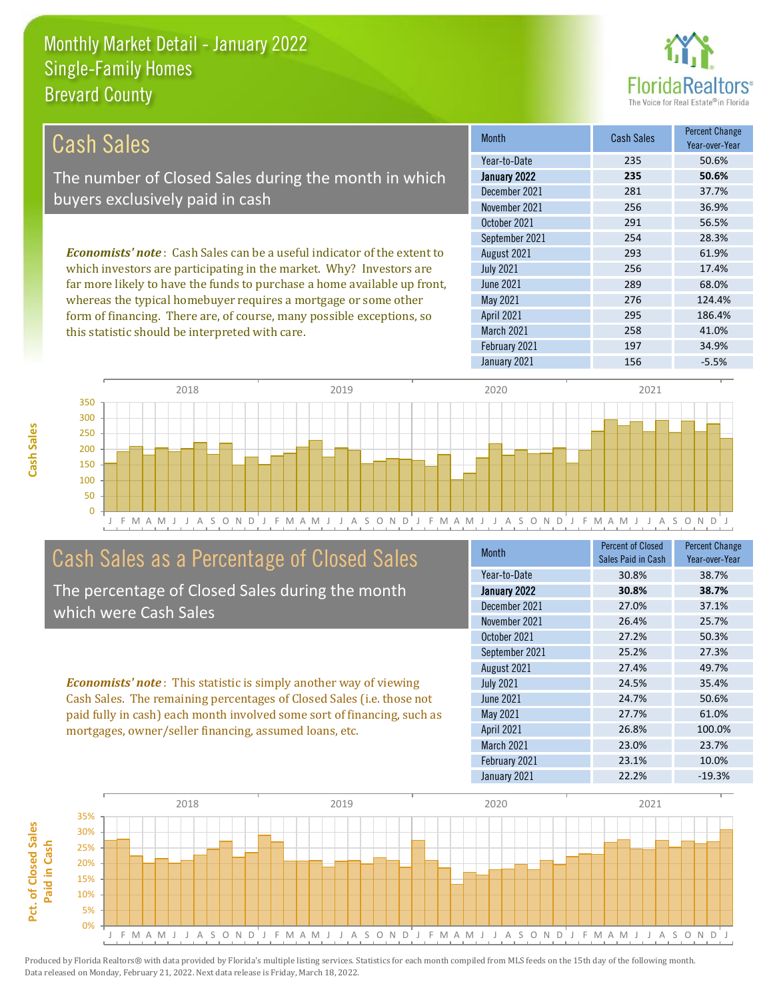this statistic should be interpreted with care.



258 41.0%

| Cash Sales                                                                     | <b>Month</b>      | <b>Cash Sales</b> | <b>Percent Change</b><br>Year-over-Year |
|--------------------------------------------------------------------------------|-------------------|-------------------|-----------------------------------------|
|                                                                                | Year-to-Date      | 235               | 50.6%                                   |
| The number of Closed Sales during the month in which                           | January 2022      | 235               | 50.6%                                   |
| buyers exclusively paid in cash                                                | December 2021     | 281               | 37.7%                                   |
|                                                                                | November 2021     | 256               | 36.9%                                   |
|                                                                                | October 2021      | 291               | 56.5%                                   |
|                                                                                | September 2021    | 254               | 28.3%                                   |
| <b>Economists' note:</b> Cash Sales can be a useful indicator of the extent to | August 2021       | 293               | 61.9%                                   |
| which investors are participating in the market. Why? Investors are            | <b>July 2021</b>  | 256               | 17.4%                                   |
| far more likely to have the funds to purchase a home available up front,       | June 2021         | 289               | 68.0%                                   |
| whereas the typical homebuyer requires a mortgage or some other                | May 2021          | 276               | 124.4%                                  |
| form of financing. There are, of course, many possible exceptions, so          | <b>April 2021</b> | 295               | 186.4%                                  |



### Cash Sales as a Percentage of Closed Sales

The percentage of Closed Sales during the month which were Cash Sales

*Economists' note* : This statistic is simply another way of viewing Cash Sales. The remaining percentages of Closed Sales (i.e. those not paid fully in cash) each month involved some sort of financing, such as mortgages, owner/seller financing, assumed loans, etc.

| <b>Month</b>     | Percent of Closed<br>Sales Paid in Cash | <b>Percent Change</b><br>Year-over-Year |
|------------------|-----------------------------------------|-----------------------------------------|
| Year-to-Date     | 30.8%                                   | 38.7%                                   |
| January 2022     | 30.8%                                   | 38.7%                                   |
| December 2021    | 27.0%                                   | 37.1%                                   |
| November 2021    | 26.4%                                   | 25.7%                                   |
| October 2021     | 27.2%                                   | 50.3%                                   |
| September 2021   | 25.2%                                   | 27.3%                                   |
| August 2021      | 27.4%                                   | 49.7%                                   |
| <b>July 2021</b> | 24.5%                                   | 35.4%                                   |
| <b>June 2021</b> | 24.7%                                   | 50.6%                                   |
| May 2021         | 27.7%                                   | 61.0%                                   |
| April 2021       | 26.8%                                   | 100.0%                                  |
| March 2021       | 23.0%                                   | 23.7%                                   |
| February 2021    | 23.1%                                   | 10.0%                                   |
| January 2021     | 22.2%                                   | $-19.3%$                                |

January 2021 156 156 -5.5%

February 2021 197 197 34.9%

March 2021



**Cash Sales**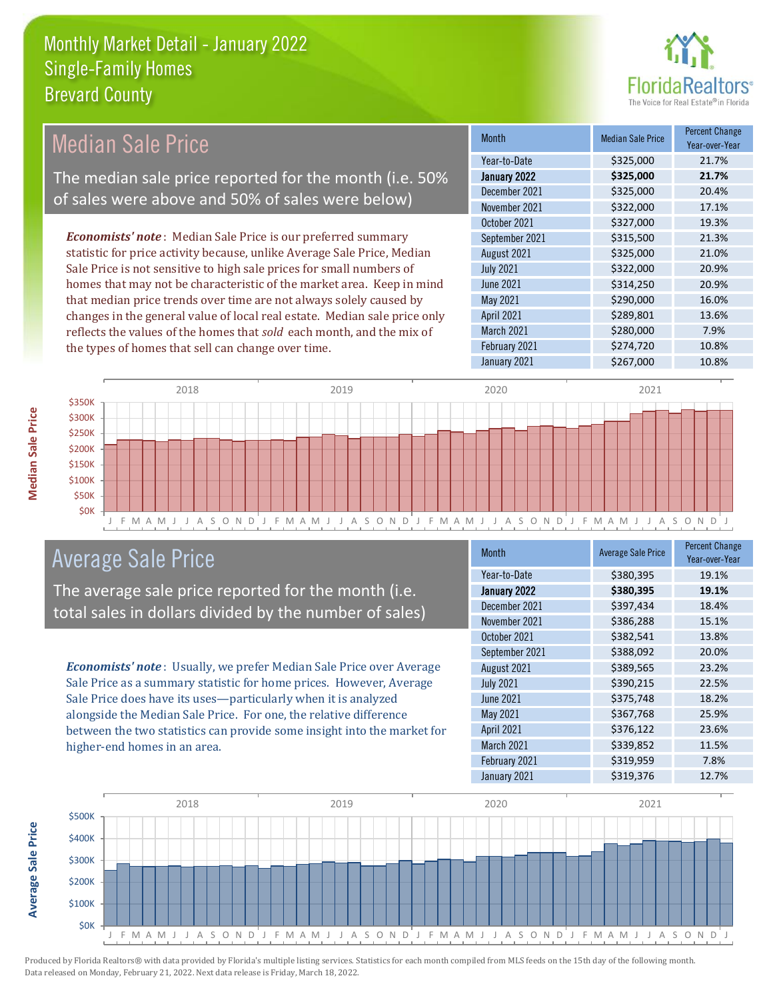

#### Month Median Sale Price Percent Change Year-over-Year January 2022 **\$325,000 21.7%** Year-to-Date \$325,000 21.7% June 2021 **\$314,250** \$314,250 20.9% December 2021 \$325,000 20.4% November 2021 <br> \$322,000 <br> 17.1% August 2021 **\$325,000** 21.0% July 2021 **\$322,000 20.9%** October 2021 **\$327,000** 19.3% September 2021 **\$315,500** 21.3% May 2021 \$290,000 16.0% April 2021 \$289,801 13.6% March 2021 **\$280,000** 7.9% February 2021 **\$274,720** 10.8% January 2021 **\$267,000** 10.8% *Economists' note* : Median Sale Price is our preferred summary statistic for price activity because, unlike Average Sale Price, Median Sale Price is not sensitive to high sale prices for small numbers of homes that may not be characteristic of the market area. Keep in mind that median price trends over time are not always solely caused by changes in the general value of local real estate. Median sale price only reflects the values of the homes that *sold* each month, and the mix of the types of homes that sell can change over time. Median Sale Price The median sale price reported for the month (i.e. 50% of sales were above and 50% of sales were below)



### Average Sale Price

The average sale price reported for the month (i.e. total sales in dollars divided by the number of sales)

*Economists' note* : Usually, we prefer Median Sale Price over Average Sale Price as a summary statistic for home prices. However, Average Sale Price does have its uses—particularly when it is analyzed alongside the Median Sale Price. For one, the relative difference between the two statistics can provide some insight into the market for higher-end homes in an area.

| Month            | <b>Average Sale Price</b> | <b>Percent Change</b><br>Year-over-Year |
|------------------|---------------------------|-----------------------------------------|
| Year-to-Date     | \$380,395                 | 19.1%                                   |
| January 2022     | \$380,395                 | 19.1%                                   |
| December 2021    | \$397,434                 | 18.4%                                   |
| November 2021    | \$386,288                 | 15.1%                                   |
| October 2021     | \$382,541                 | 13.8%                                   |
| September 2021   | \$388,092                 | 20.0%                                   |
| August 2021      | \$389,565                 | 23.2%                                   |
| <b>July 2021</b> | \$390,215                 | 22.5%                                   |
| <b>June 2021</b> | \$375,748                 | 18.2%                                   |
| May 2021         | \$367,768                 | 25.9%                                   |
| April 2021       | \$376,122                 | 23.6%                                   |
| March 2021       | \$339,852                 | 11.5%                                   |
| February 2021    | \$319,959                 | 7.8%                                    |
| January 2021     | \$319,376                 | 12.7%                                   |



Produced by Florida Realtors® with data provided by Florida's multiple listing services. Statistics for each month compiled from MLS feeds on the 15th day of the following month. Data released on Monday, February 21, 2022. Next data release is Friday, March 18, 2022.

**Average Sale Price**

**Average Sale Price**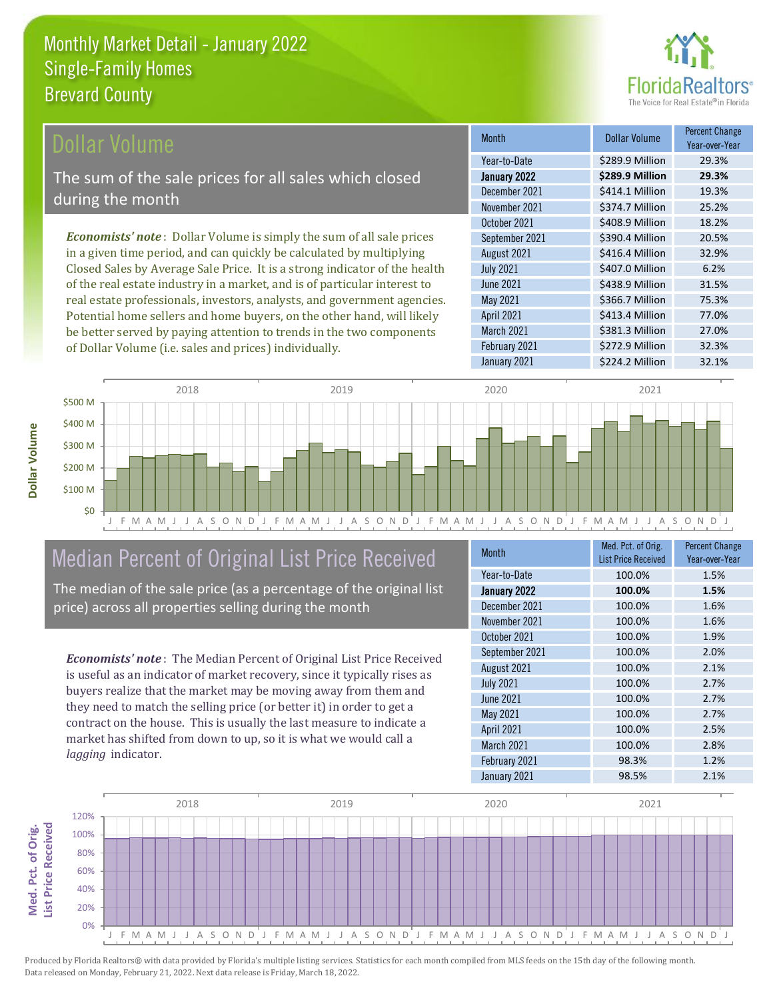

#### Dollar Volume

The sum of the sale prices for all sales which closed during the month

*Economists' note* : Dollar Volume is simply the sum of all sale prices in a given time period, and can quickly be calculated by multiplying Closed Sales by Average Sale Price. It is a strong indicator of the health of the real estate industry in a market, and is of particular interest to real estate professionals, investors, analysts, and government agencies. Potential home sellers and home buyers, on the other hand, will likely be better served by paying attention to trends in the two components of Dollar Volume (i.e. sales and prices) individually.

| <b>Month</b>     | Dollar Volume   | <b>Percent Change</b><br>Year-over-Year |
|------------------|-----------------|-----------------------------------------|
| Year-to-Date     | \$289.9 Million | 29.3%                                   |
| January 2022     | \$289.9 Million | 29.3%                                   |
| December 2021    | \$414.1 Million | 19.3%                                   |
| November 2021    | \$374.7 Million | 25.2%                                   |
| October 2021     | \$408.9 Million | 18.2%                                   |
| September 2021   | \$390.4 Million | 20.5%                                   |
| August 2021      | \$416.4 Million | 32.9%                                   |
| <b>July 2021</b> | \$407.0 Million | 6.2%                                    |
| June 2021        | \$438.9 Million | 31.5%                                   |
| May 2021         | \$366.7 Million | 75.3%                                   |
| April 2021       | \$413.4 Million | 77.0%                                   |
| March 2021       | \$381.3 Million | 27.0%                                   |
| February 2021    | \$272.9 Million | 32.3%                                   |
| January 2021     | \$224.2 Million | 32.1%                                   |



## Median Percent of Original List Price Received

The median of the sale price (as a percentage of the original list price) across all properties selling during the month

*Economists' note* : The Median Percent of Original List Price Received is useful as an indicator of market recovery, since it typically rises as buyers realize that the market may be moving away from them and they need to match the selling price (or better it) in order to get a contract on the house. This is usually the last measure to indicate a market has shifted from down to up, so it is what we would call a *lagging* indicator.

| <b>Month</b>     | Med. Pct. of Orig.<br><b>List Price Received</b> | <b>Percent Change</b><br>Year-over-Year |
|------------------|--------------------------------------------------|-----------------------------------------|
| Year-to-Date     | 100.0%                                           | 1.5%                                    |
| January 2022     | 100.0%                                           | 1.5%                                    |
| December 2021    | 100.0%                                           | 1.6%                                    |
| November 2021    | 100.0%                                           | 1.6%                                    |
| October 2021     | 100.0%                                           | 1.9%                                    |
| September 2021   | 100.0%                                           | 2.0%                                    |
| August 2021      | 100.0%                                           | 2.1%                                    |
| <b>July 2021</b> | 100.0%                                           | 2.7%                                    |
| <b>June 2021</b> | 100.0%                                           | 2.7%                                    |
| May 2021         | 100.0%                                           | 2.7%                                    |
| April 2021       | 100.0%                                           | 2.5%                                    |
| March 2021       | 100.0%                                           | 2.8%                                    |
| February 2021    | 98.3%                                            | 1.2%                                    |
| January 2021     | 98.5%                                            | 2.1%                                    |

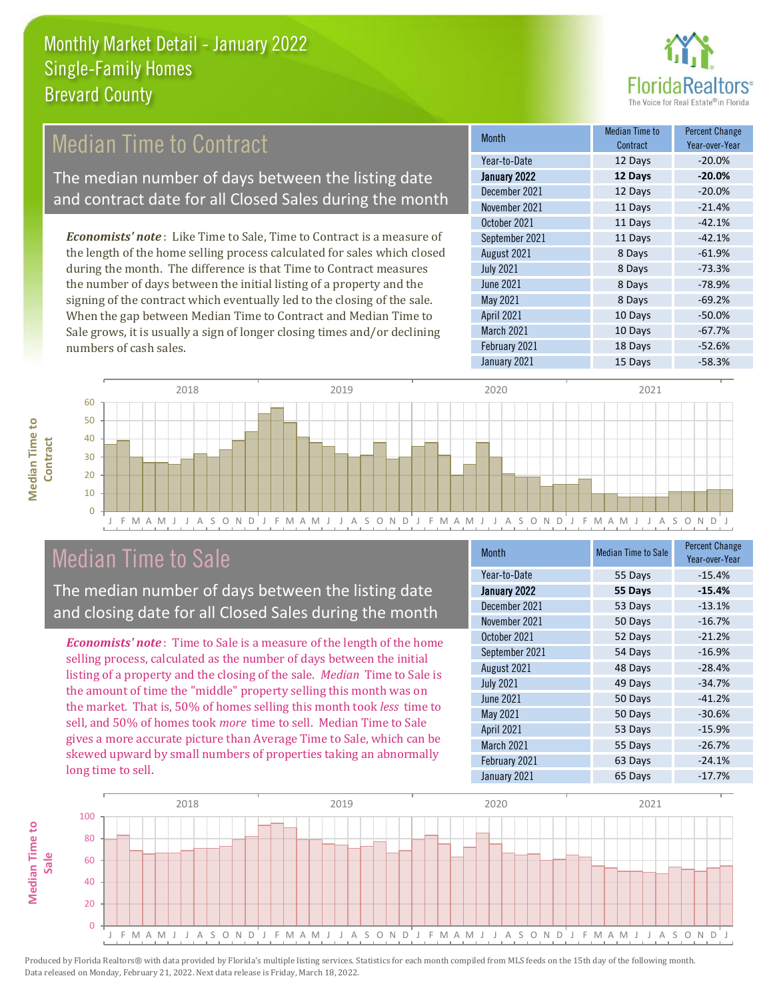

## Median Time to Contract

The median number of days between the listing date and contract date for all Closed Sales during the month

*Economists' note* : Like Time to Sale, Time to Contract is a measure of the length of the home selling process calculated for sales which closed during the month. The difference is that Time to Contract measures the number of days between the initial listing of a property and the signing of the contract which eventually led to the closing of the sale. When the gap between Median Time to Contract and Median Time to Sale grows, it is usually a sign of longer closing times and/or declining numbers of cash sales.

| Month            | Median Time to<br>Contract | <b>Percent Change</b><br>Year-over-Year |
|------------------|----------------------------|-----------------------------------------|
| Year-to-Date     | 12 Days                    | $-20.0%$                                |
| January 2022     | 12 Days                    | $-20.0%$                                |
| December 2021    | 12 Days                    | $-20.0%$                                |
| November 2021    | 11 Days                    | $-21.4%$                                |
| October 2021     | 11 Days                    | $-42.1%$                                |
| September 2021   | 11 Days                    | $-42.1%$                                |
| August 2021      | 8 Days                     | $-61.9%$                                |
| <b>July 2021</b> | 8 Days                     | $-73.3%$                                |
| <b>June 2021</b> | 8 Days                     | $-78.9%$                                |
| May 2021         | 8 Days                     | $-69.2%$                                |
| April 2021       | 10 Days                    | $-50.0%$                                |
| March 2021       | 10 Days                    | $-67.7%$                                |
| February 2021    | 18 Days                    | $-52.6%$                                |
| January 2021     | 15 Days                    | $-58.3%$                                |



### Median Time to Sale

**Median Time to** 

**Median Time to** 

The median number of days between the listing date and closing date for all Closed Sales during the month

*Economists' note* : Time to Sale is a measure of the length of the home selling process, calculated as the number of days between the initial listing of a property and the closing of the sale. *Median* Time to Sale is the amount of time the "middle" property selling this month was on the market. That is, 50% of homes selling this month took *less* time to sell, and 50% of homes took *more* time to sell. Median Time to Sale gives a more accurate picture than Average Time to Sale, which can be skewed upward by small numbers of properties taking an abnormally long time to sell.

| Month             | <b>Median Time to Sale</b> | <b>Percent Change</b><br>Year-over-Year |
|-------------------|----------------------------|-----------------------------------------|
| Year-to-Date      | 55 Days                    | $-15.4%$                                |
| January 2022      | 55 Days                    | $-15.4%$                                |
| December 2021     | 53 Days                    | $-13.1%$                                |
| November 2021     | 50 Days                    | $-16.7%$                                |
| October 2021      | 52 Days                    | $-21.2%$                                |
| September 2021    | 54 Days                    | $-16.9%$                                |
| August 2021       | 48 Days                    | $-28.4%$                                |
| <b>July 2021</b>  | 49 Days                    | $-34.7%$                                |
| June 2021         | 50 Days                    | $-41.2%$                                |
| May 2021          | 50 Days                    | $-30.6%$                                |
| <b>April 2021</b> | 53 Days                    | $-15.9%$                                |
| March 2021        | 55 Days                    | $-26.7%$                                |
| February 2021     | 63 Days                    | $-24.1%$                                |
| January 2021      | 65 Days                    | $-17.7%$                                |

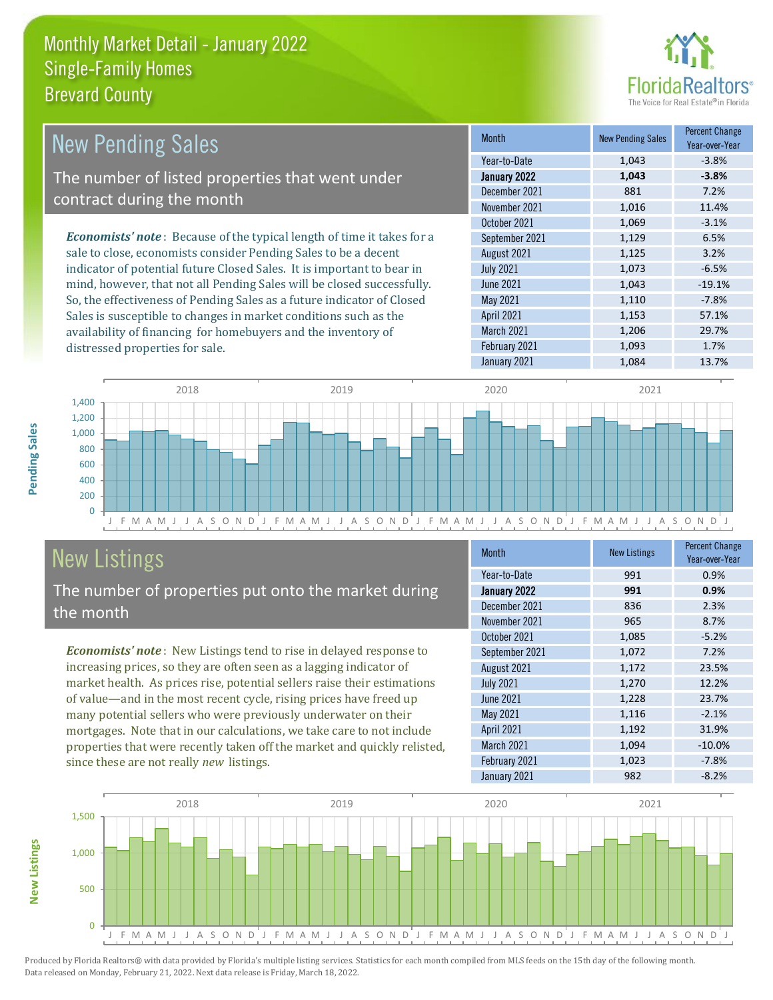

| <b>New Pending Sales</b>                                                       | <b>Month</b>      | <b>New Pending Sales</b> | <b>Percent Change</b><br>Year-over-Year |
|--------------------------------------------------------------------------------|-------------------|--------------------------|-----------------------------------------|
|                                                                                | Year-to-Date      | 1,043                    | $-3.8%$                                 |
| The number of listed properties that went under                                | January 2022      | 1,043                    | $-3.8%$                                 |
| contract during the month                                                      | December 2021     | 881                      | 7.2%                                    |
|                                                                                | November 2021     | 1,016                    | 11.4%                                   |
|                                                                                | October 2021      | 1,069                    | $-3.1%$                                 |
| <b>Economists' note</b> : Because of the typical length of time it takes for a | September 2021    | 1,129                    | 6.5%                                    |
| sale to close, economists consider Pending Sales to be a decent                | August 2021       | 1,125                    | 3.2%                                    |
| indicator of potential future Closed Sales. It is important to bear in         | <b>July 2021</b>  | 1,073                    | $-6.5%$                                 |
| mind, however, that not all Pending Sales will be closed successfully.         | June 2021         | 1,043                    | $-19.1%$                                |
| So, the effectiveness of Pending Sales as a future indicator of Closed         | May 2021          | 1,110                    | $-7.8%$                                 |
| Sales is susceptible to changes in market conditions such as the               | <b>April 2021</b> | 1,153                    | 57.1%                                   |

J F M A M J J A S O N D J F M A M J J A S O N D J F M A M J J A S O N D J F M A M J J A S O N D J  $\overline{0}$ 200 400 600 800 1,000 1,200 1,400 2018 2019 2020 2021

## New Listings

distressed properties for sale.

The number of properties put onto the market during the month

availability of financing for homebuyers and the inventory of

*Economists' note* : New Listings tend to rise in delayed response to increasing prices, so they are often seen as a lagging indicator of market health. As prices rise, potential sellers raise their estimations of value—and in the most recent cycle, rising prices have freed up many potential sellers who were previously underwater on their mortgages. Note that in our calculations, we take care to not include properties that were recently taken off the market and quickly relisted, since these are not really *new* listings.

| <b>Month</b>     | <b>New Listings</b> | <b>Percent Change</b><br>Year-over-Year |
|------------------|---------------------|-----------------------------------------|
| Year-to-Date     | 991                 | 0.9%                                    |
| January 2022     | 991                 | 0.9%                                    |
| December 2021    | 836                 | 2.3%                                    |
| November 2021    | 965                 | 8.7%                                    |
| October 2021     | 1,085               | $-5.2%$                                 |
| September 2021   | 1,072               | 7.2%                                    |
| August 2021      | 1,172               | 23.5%                                   |
| <b>July 2021</b> | 1,270               | 12.2%                                   |
| <b>June 2021</b> | 1,228               | 23.7%                                   |
| May 2021         | 1,116               | $-2.1%$                                 |
| April 2021       | 1,192               | 31.9%                                   |
| March 2021       | 1,094               | $-10.0%$                                |
| February 2021    | 1,023               | $-7.8%$                                 |
| January 2021     | 982                 | $-8.2%$                                 |

March 2021 1,206 29.7% February 2021 1,093 1.7% January 2021 1,084 13.7%



Pending Sales **Pending Sales**

**New Listings**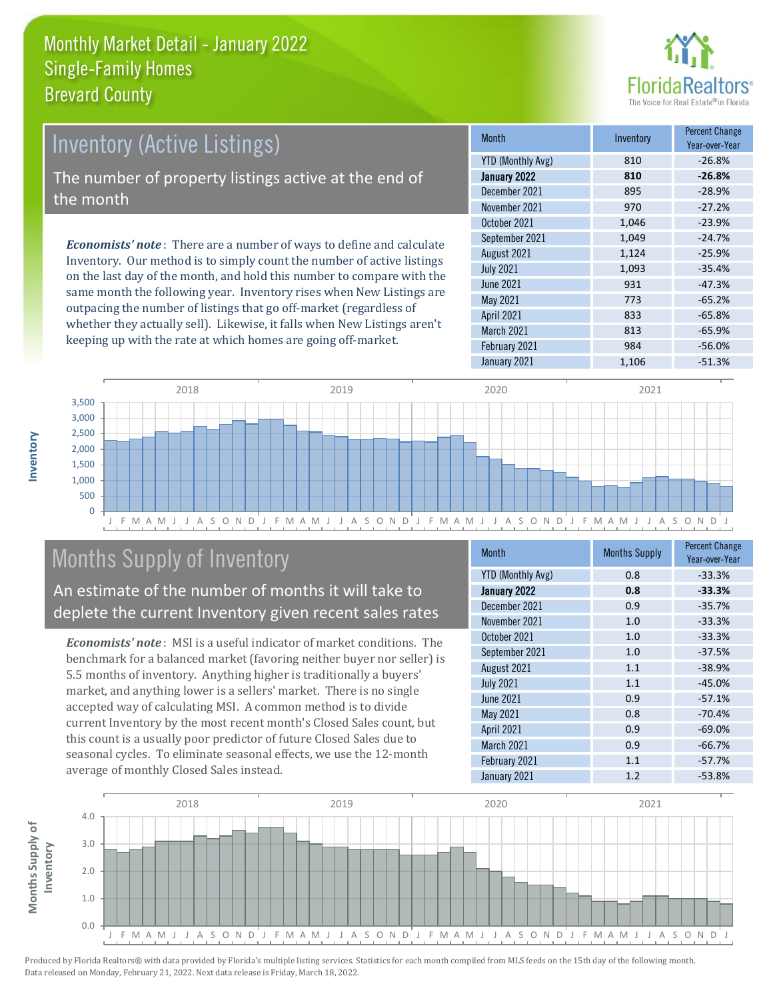

## *Economists' note* : There are a number of ways to define and calculate Inventory (Active Listings) The number of property listings active at the end of the month

Inventory. Our method is to simply count the number of active listings on the last day of the month, and hold this number to compare with the same month the following year. Inventory rises when New Listings are outpacing the number of listings that go off-market (regardless of whether they actually sell). Likewise, it falls when New Listings aren't keeping up with the rate at which homes are going off-market.

| <b>Month</b>             | Inventory | <b>Percent Change</b><br>Year-over-Year |
|--------------------------|-----------|-----------------------------------------|
| <b>YTD (Monthly Avg)</b> | 810       | $-26.8%$                                |
| January 2022             | 810       | $-26.8%$                                |
| December 2021            | 895       | $-28.9%$                                |
| November 2021            | 970       | $-27.2%$                                |
| October 2021             | 1,046     | $-23.9%$                                |
| September 2021           | 1,049     | $-24.7%$                                |
| August 2021              | 1,124     | $-25.9%$                                |
| <b>July 2021</b>         | 1,093     | $-35.4%$                                |
| <b>June 2021</b>         | 931       | $-47.3%$                                |
| May 2021                 | 773       | $-65.2%$                                |
| April 2021               | 833       | $-65.8%$                                |
| March 2021               | 813       | $-65.9%$                                |
| February 2021            | 984       | $-56.0%$                                |
| January 2021             | 1,106     | $-51.3%$                                |



## Months Supply of Inventory

An estimate of the number of months it will take to deplete the current Inventory given recent sales rates

*Economists' note* : MSI is a useful indicator of market conditions. The benchmark for a balanced market (favoring neither buyer nor seller) is 5.5 months of inventory. Anything higher is traditionally a buyers' market, and anything lower is a sellers' market. There is no single accepted way of calculating MSI. A common method is to divide current Inventory by the most recent month's Closed Sales count, but this count is a usually poor predictor of future Closed Sales due to seasonal cycles. To eliminate seasonal effects, we use the 12-month average of monthly Closed Sales instead.

| Month                    | <b>Months Supply</b> | <b>Percent Change</b><br>Year-over-Year |
|--------------------------|----------------------|-----------------------------------------|
| <b>YTD (Monthly Avg)</b> | 0.8                  | $-33.3%$                                |
| January 2022             | 0.8                  | $-33.3%$                                |
| December 2021            | 0.9                  | $-35.7%$                                |
| November 2021            | 1.0                  | $-33.3%$                                |
| October 2021             | 1.0                  | $-33.3%$                                |
| September 2021           | 1.0                  | $-37.5%$                                |
| August 2021              | 1.1                  | $-38.9%$                                |
| <b>July 2021</b>         | 1.1                  | $-45.0%$                                |
| <b>June 2021</b>         | 0.9                  | $-57.1%$                                |
| May 2021                 | 0.8                  | $-70.4%$                                |
| April 2021               | 0.9                  | $-69.0%$                                |
| March 2021               | 0.9                  | $-66.7%$                                |
| February 2021            | 1.1                  | $-57.7%$                                |
| January 2021             | 1.2                  | $-53.8%$                                |

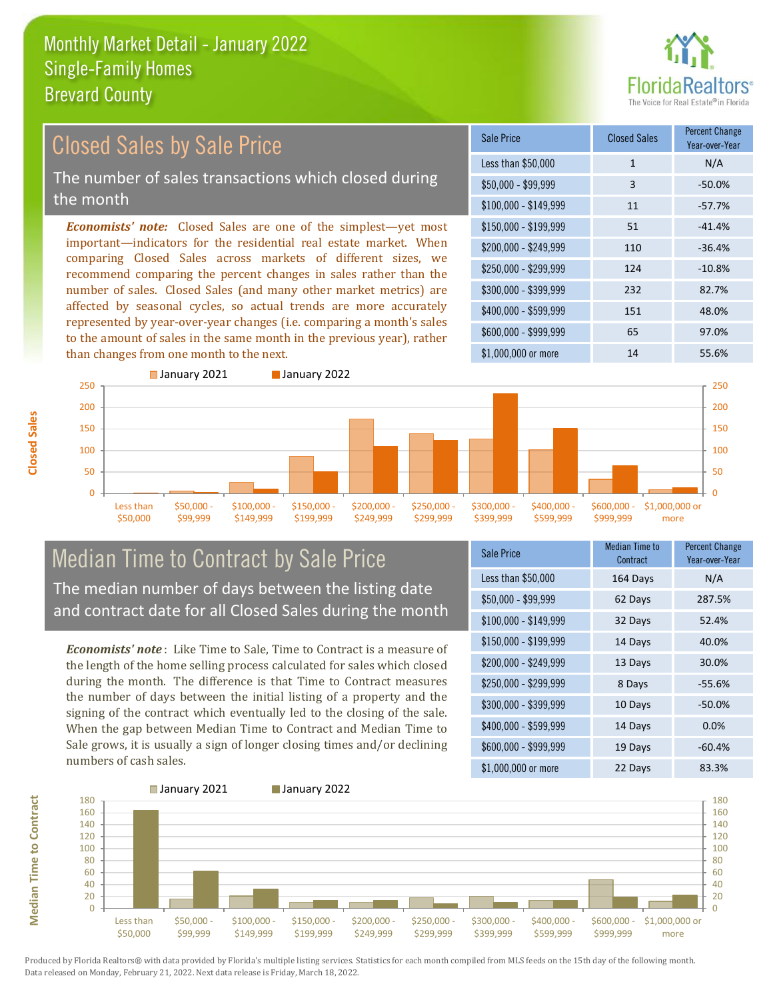

#### *Economists' note:* Closed Sales are one of the simplest—yet most important—indicators for the residential real estate market. When comparing Closed Sales across markets of different sizes, we recommend comparing the percent changes in sales rather than the number of sales. Closed Sales (and many other market metrics) are affected by seasonal cycles, so actual trends are more accurately represented by year-over-year changes (i.e. comparing a month's sales to the amount of sales in the same month in the previous year), rather than changes from one month to the next. \$1,000,000 or more 14 14 55.6%  $$250,000 - $299,999$  124 -10.8% \$300,000 - \$399,999 232 82.7% \$400,000 - \$599,999 151 48.0% \$600,000 - \$999,999 65 97.0% \$150,000 - \$199,999 51 -41.4% \$200,000 - \$249,999 110 -36.4%  $$100,000 - $149,999$  11 -57.7% Sale Price Closed Sales Percent Change Year-over-Year Less than \$50,000 1 1 N/A \$50,000 - \$99,999 3 -50.0% 200 250 ■ January 2021 **■ January 2022** 200 250 Closed Sales by Sale Price The number of sales transactions which closed during the month



#### Median Time to Contract by Sale Price The median number of days between the listing date and contract date for all Closed Sales during the month

*Economists' note* : Like Time to Sale, Time to Contract is a measure of the length of the home selling process calculated for sales which closed during the month. The difference is that Time to Contract measures the number of days between the initial listing of a property and the signing of the contract which eventually led to the closing of the sale. When the gap between Median Time to Contract and Median Time to Sale grows, it is usually a sign of longer closing times and/or declining numbers of cash sales.

| <b>Sale Price</b>     | <b>Median Time to</b><br>Contract | <b>Percent Change</b><br>Year-over-Year |
|-----------------------|-----------------------------------|-----------------------------------------|
| Less than \$50,000    | 164 Days                          | N/A                                     |
| $$50,000 - $99,999$   | 62 Days                           | 287.5%                                  |
| $$100,000 - $149,999$ | 32 Days                           | 52.4%                                   |
| $$150,000 - $199,999$ | 14 Days                           | 40.0%                                   |
| \$200,000 - \$249,999 | 13 Days                           | 30.0%                                   |
| \$250,000 - \$299,999 | 8 Days                            | $-55.6%$                                |
| \$300,000 - \$399,999 | 10 Days                           | $-50.0%$                                |
| \$400,000 - \$599,999 | 14 Days                           | 0.0%                                    |
| \$600,000 - \$999,999 | 19 Days                           | $-60.4%$                                |
| \$1,000,000 or more   | 22 Days                           | 83.3%                                   |

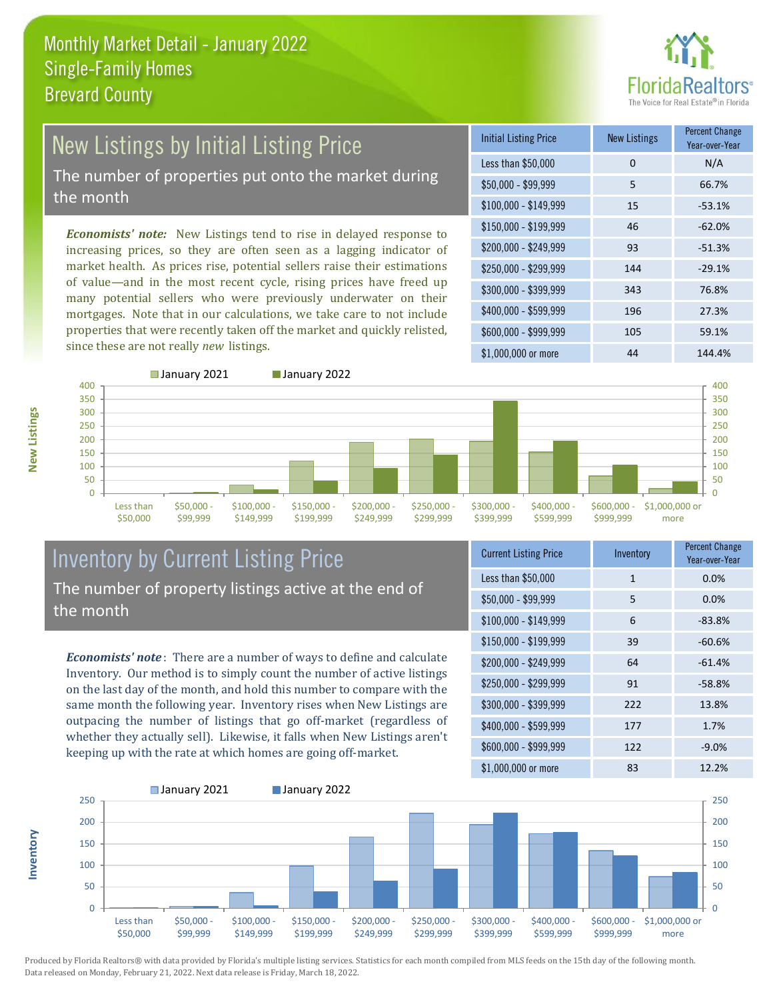

# New Listings by Initial Listing Price

The number of properties put onto the market during the month

*Economists' note:* New Listings tend to rise in delayed response to increasing prices, so they are often seen as a lagging indicator of market health. As prices rise, potential sellers raise their estimations of value—and in the most recent cycle, rising prices have freed up many potential sellers who were previously underwater on their mortgages. Note that in our calculations, we take care to not include properties that were recently taken off the market and quickly relisted, since these are not really *new* listings.

| <b>Initial Listing Price</b> | <b>New Listings</b> | <b>Percent Change</b><br>Year-over-Year |
|------------------------------|---------------------|-----------------------------------------|
| Less than \$50,000           | 0                   | N/A                                     |
| $$50,000 - $99,999$          | 5                   | 66.7%                                   |
| $$100,000 - $149,999$        | 15                  | $-53.1%$                                |
| $$150,000 - $199,999$        | 46                  | $-62.0%$                                |
| \$200,000 - \$249,999        | 93                  | $-51.3%$                                |
| \$250,000 - \$299,999        | 144                 | $-29.1%$                                |
| \$300,000 - \$399,999        | 343                 | 76.8%                                   |
| \$400,000 - \$599,999        | 196                 | 27.3%                                   |
| \$600,000 - \$999,999        | 105                 | 59.1%                                   |
| $$1,000,000$ or more         | 44                  | 144.4%                                  |



#### Inventory by Current Listing Price The number of property listings active at the end of the month

*Economists' note* : There are a number of ways to define and calculate Inventory. Our method is to simply count the number of active listings on the last day of the month, and hold this number to compare with the same month the following year. Inventory rises when New Listings are outpacing the number of listings that go off-market (regardless of whether they actually sell). Likewise, it falls when New Listings aren't keeping up with the rate at which homes are going off-market.

| <b>Current Listing Price</b> | Inventory | <b>Percent Change</b><br>Year-over-Year |
|------------------------------|-----------|-----------------------------------------|
| Less than \$50,000           | 1         | 0.0%                                    |
| $$50,000 - $99,999$          | 5         | 0.0%                                    |
| $$100,000 - $149,999$        | 6         | $-83.8%$                                |
| $$150,000 - $199,999$        | 39        | $-60.6%$                                |
| \$200,000 - \$249,999        | 64        | $-61.4%$                                |
| \$250,000 - \$299,999        | 91        | $-58.8%$                                |
| \$300,000 - \$399,999        | 222       | 13.8%                                   |
| \$400,000 - \$599,999        | 177       | 1.7%                                    |
| \$600,000 - \$999,999        | 122       | $-9.0%$                                 |
| \$1,000,000 or more          | 83        | 12.2%                                   |



Produced by Florida Realtors® with data provided by Florida's multiple listing services. Statistics for each month compiled from MLS feeds on the 15th day of the following month. Data released on Monday, February 21, 2022. Next data release is Friday, March 18, 2022.

**Inventory**